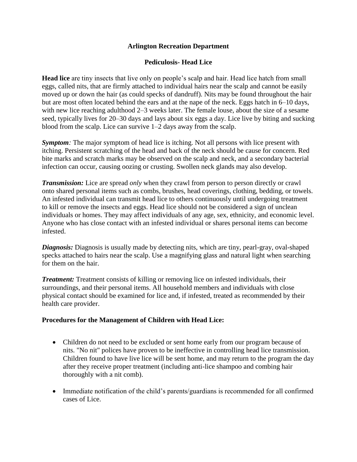### **Arlington Recreation Department**

### **Pediculosis- Head Lice**

**Head lice** are tiny insects that live only on people's scalp and hair. Head lice hatch from small eggs, called nits, that are firmly attached to individual hairs near the scalp and cannot be easily moved up or down the hair (as could specks of dandruff). Nits may be found throughout the hair but are most often located behind the ears and at the nape of the neck. Eggs hatch in 6–10 days, with new lice reaching adulthood 2–3 weeks later. The female louse, about the size of a sesame seed, typically lives for 20–30 days and lays about six eggs a day. Lice live by biting and sucking blood from the scalp. Lice can survive 1–2 days away from the scalp.

*Symptom:* The major symptom of head lice is itching. Not all persons with lice present with itching. Persistent scratching of the head and back of the neck should be cause for concern. Red bite marks and scratch marks may be observed on the scalp and neck, and a secondary bacterial infection can occur, causing oozing or crusting. Swollen neck glands may also develop.

*Transmission:* Lice are spread *only* when they crawl from person to person directly or crawl onto shared personal items such as combs, brushes, head coverings, clothing, bedding, or towels. An infested individual can transmit head lice to others continuously until undergoing treatment to kill or remove the insects and eggs. Head lice should not be considered a sign of unclean individuals or homes. They may affect individuals of any age, sex, ethnicity, and economic level. Anyone who has close contact with an infested individual or shares personal items can become infested.

*Diagnosis:* Diagnosis is usually made by detecting nits, which are tiny, pearl-gray, oval-shaped specks attached to hairs near the scalp. Use a magnifying glass and natural light when searching for them on the hair.

*Treatment:* Treatment consists of killing or removing lice on infested individuals, their surroundings, and their personal items. All household members and individuals with close physical contact should be examined for lice and, if infested, treated as recommended by their health care provider.

#### **Procedures for the Management of Children with Head Lice:**

- Children do not need to be excluded or sent home early from our program because of nits. "No nit" polices have proven to be ineffective in controlling head lice transmission. Children found to have live lice will be sent home, and may return to the program the day after they receive proper treatment (including anti-lice shampoo and combing hair thoroughly with a nit comb).
- Immediate notification of the child's parents/guardians is recommended for all confirmed cases of Lice.